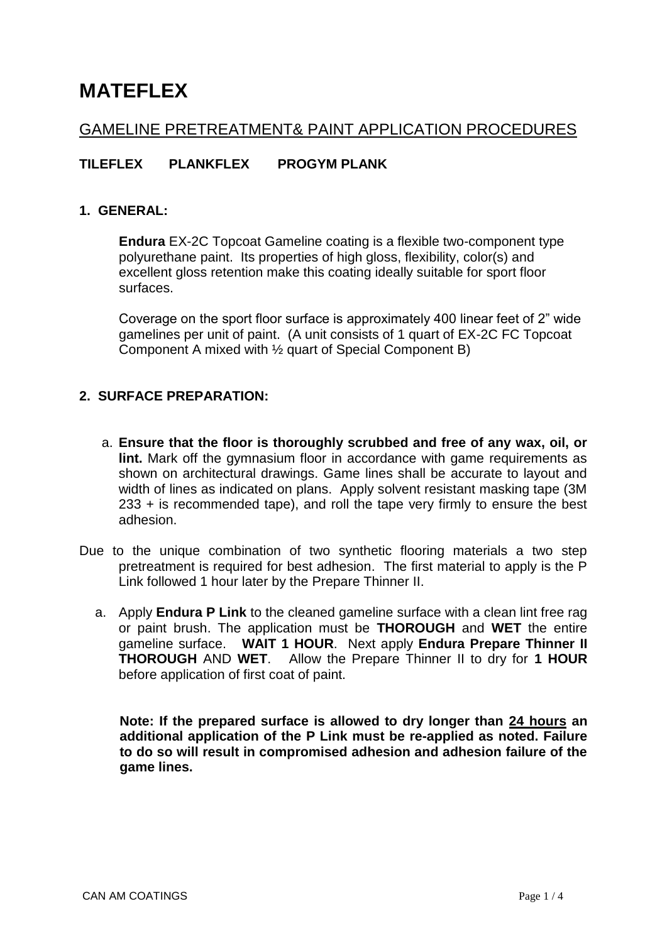# **MATEFLEX**

## GAMELINE PRETREATMENT& PAINT APPLICATION PROCEDURES

## **TILEFLEX PLANKFLEX PROGYM PLANK**

#### **1. GENERAL:**

**Endura** EX-2C Topcoat Gameline coating is a flexible two-component type polyurethane paint. Its properties of high gloss, flexibility, color(s) and excellent gloss retention make this coating ideally suitable for sport floor surfaces.

Coverage on the sport floor surface is approximately 400 linear feet of 2" wide gamelines per unit of paint. (A unit consists of 1 quart of EX-2C FC Topcoat Component A mixed with ½ quart of Special Component B)

## **2. SURFACE PREPARATION:**

- a. **Ensure that the floor is thoroughly scrubbed and free of any wax, oil, or lint.** Mark off the gymnasium floor in accordance with game requirements as shown on architectural drawings. Game lines shall be accurate to layout and width of lines as indicated on plans. Apply solvent resistant masking tape (3M 233 + is recommended tape), and roll the tape very firmly to ensure the best adhesion.
- Due to the unique combination of two synthetic flooring materials a two step pretreatment is required for best adhesion. The first material to apply is the P Link followed 1 hour later by the Prepare Thinner II.
	- a. Apply **Endura P Link** to the cleaned gameline surface with a clean lint free rag or paint brush. The application must be **THOROUGH** and **WET** the entire gameline surface. **WAIT 1 HOUR**. Next apply **Endura Prepare Thinner II THOROUGH** AND **WET**. Allow the Prepare Thinner II to dry for **1 HOUR** before application of first coat of paint.

**Note: If the prepared surface is allowed to dry longer than 24 hours an additional application of the P Link must be re-applied as noted. Failure to do so will result in compromised adhesion and adhesion failure of the game lines.**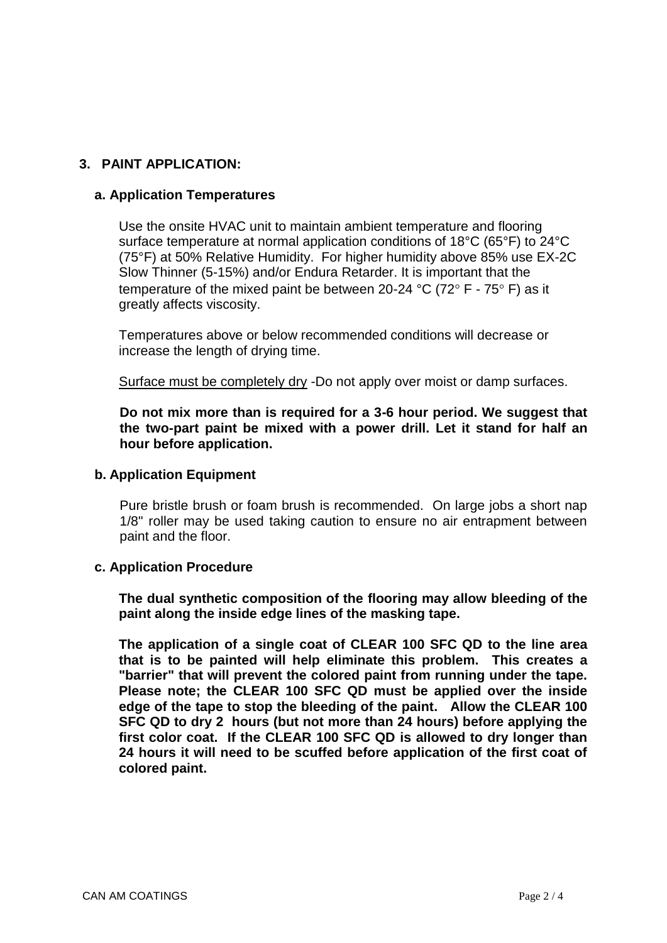## **3. PAINT APPLICATION:**

#### **a. Application Temperatures**

Use the onsite HVAC unit to maintain ambient temperature and flooring surface temperature at normal application conditions of 18°C (65°F) to 24°C (75°F) at 50% Relative Humidity. For higher humidity above 85% use EX-2C Slow Thinner (5-15%) and/or Endura Retarder. It is important that the temperature of the mixed paint be between 20-24 °C (72° F - 75° F) as it greatly affects viscosity.

Temperatures above or below recommended conditions will decrease or increase the length of drying time.

Surface must be completely dry -Do not apply over moist or damp surfaces.

**Do not mix more than is required for a 3-6 hour period. We suggest that the two-part paint be mixed with a power drill. Let it stand for half an hour before application.**

#### **b. Application Equipment**

Pure bristle brush or foam brush is recommended. On large jobs a short nap 1/8" roller may be used taking caution to ensure no air entrapment between paint and the floor.

#### **c. Application Procedure**

**The dual synthetic composition of the flooring may allow bleeding of the paint along the inside edge lines of the masking tape.**

**The application of a single coat of CLEAR 100 SFC QD to the line area that is to be painted will help eliminate this problem. This creates a "barrier" that will prevent the colored paint from running under the tape. Please note; the CLEAR 100 SFC QD must be applied over the inside edge of the tape to stop the bleeding of the paint. Allow the CLEAR 100 SFC QD to dry 2 hours (but not more than 24 hours) before applying the first color coat. If the CLEAR 100 SFC QD is allowed to dry longer than 24 hours it will need to be scuffed before application of the first coat of colored paint.**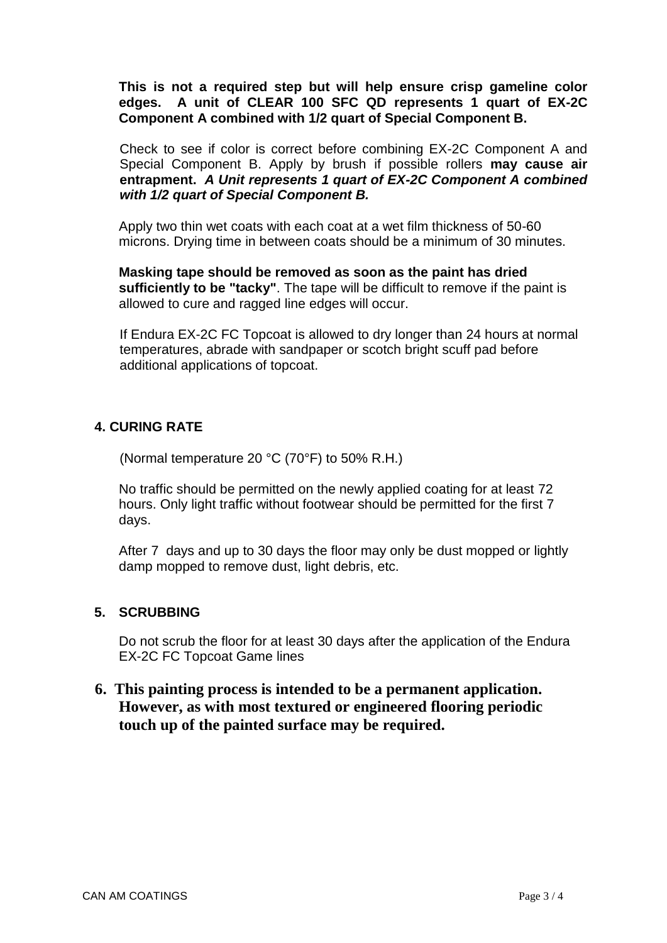**This is not a required step but will help ensure crisp gameline color edges. A unit of CLEAR 100 SFC QD represents 1 quart of EX-2C Component A combined with 1/2 quart of Special Component B.**

Check to see if color is correct before combining EX-2C Component A and Special Component B. Apply by brush if possible rollers **may cause air entrapment.** *A Unit represents 1 quart of EX-2C Component A combined with 1/2 quart of Special Component B.*

Apply two thin wet coats with each coat at a wet film thickness of 50-60 microns. Drying time in between coats should be a minimum of 30 minutes.

**Masking tape should be removed as soon as the paint has dried sufficiently to be "tacky"**. The tape will be difficult to remove if the paint is allowed to cure and ragged line edges will occur.

If Endura EX-2C FC Topcoat is allowed to dry longer than 24 hours at normal temperatures, abrade with sandpaper or scotch bright scuff pad before additional applications of topcoat.

## **4. CURING RATE**

(Normal temperature 20 °C (70°F) to 50% R.H.)

No traffic should be permitted on the newly applied coating for at least 72 hours. Only light traffic without footwear should be permitted for the first 7 days.

After 7 days and up to 30 days the floor may only be dust mopped or lightly damp mopped to remove dust, light debris, etc.

## **5. SCRUBBING**

Do not scrub the floor for at least 30 days after the application of the Endura EX-2C FC Topcoat Game lines

## **6. This painting process is intended to be a permanent application. However, as with most textured or engineered flooring periodic touch up of the painted surface may be required.**